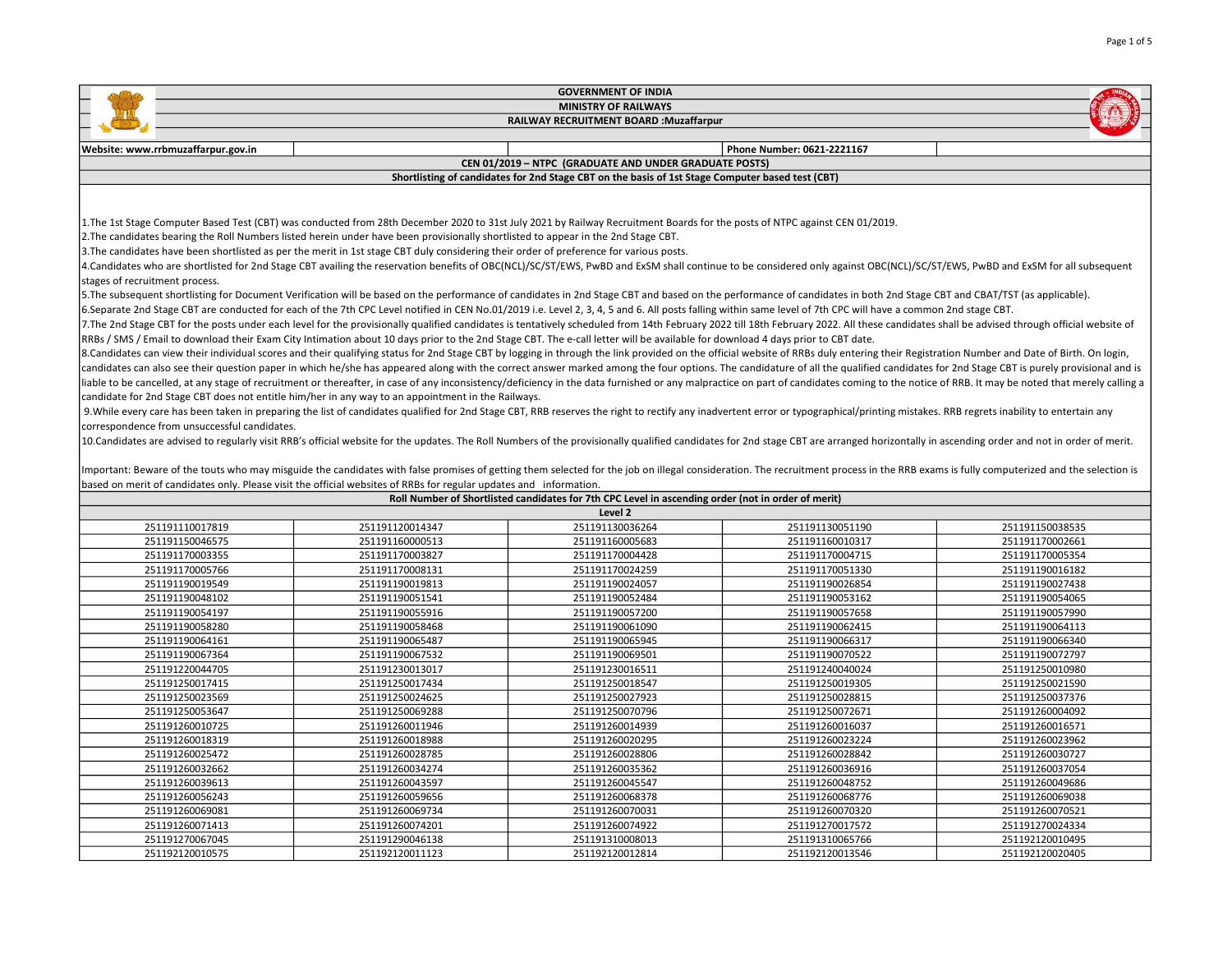|                                              |                                                                                                                                                                                                                                | <b>GOVERNMENT OF INDIA</b>                                                                         |                            |                                    |
|----------------------------------------------|--------------------------------------------------------------------------------------------------------------------------------------------------------------------------------------------------------------------------------|----------------------------------------------------------------------------------------------------|----------------------------|------------------------------------|
|                                              |                                                                                                                                                                                                                                | <b>MINISTRY OF RAILWAYS</b>                                                                        |                            |                                    |
|                                              |                                                                                                                                                                                                                                | RAILWAY RECRUITMENT BOARD : Muzaffarpur                                                            |                            |                                    |
|                                              |                                                                                                                                                                                                                                |                                                                                                    |                            |                                    |
| Website: www.rrbmuzaffarpur.gov.in           |                                                                                                                                                                                                                                |                                                                                                    | Phone Number: 0621-2221167 |                                    |
|                                              |                                                                                                                                                                                                                                | CEN 01/2019 - NTPC (GRADUATE AND UNDER GRADUATE POSTS)                                             |                            |                                    |
|                                              |                                                                                                                                                                                                                                | Shortlisting of candidates for 2nd Stage CBT on the basis of 1st Stage Computer based test (CBT)   |                            |                                    |
|                                              |                                                                                                                                                                                                                                |                                                                                                    |                            |                                    |
|                                              |                                                                                                                                                                                                                                |                                                                                                    |                            |                                    |
|                                              | 1. The 1st Stage Computer Based Test (CBT) was conducted from 28th December 2020 to 31st July 2021 by Railway Recruitment Boards for the posts of NTPC against CEN 01/2019.                                                    |                                                                                                    |                            |                                    |
|                                              | 2. The candidates bearing the Roll Numbers listed herein under have been provisionally shortlisted to appear in the 2nd Stage CBT.                                                                                             |                                                                                                    |                            |                                    |
|                                              | 3. The candidates have been shortlisted as per the merit in 1st stage CBT duly considering their order of preference for various posts.                                                                                        |                                                                                                    |                            |                                    |
|                                              | 4. Candidates who are shortlisted for 2nd Stage CBT availing the reservation benefits of OBC(NCL)/SC/ST/EWS, PwBD and ExSM shall continue to be considered only against OBC(NCL)/SC/ST/EWS, PwBD and ExSM for all subsequent   |                                                                                                    |                            |                                    |
| stages of recruitment process.               |                                                                                                                                                                                                                                |                                                                                                    |                            |                                    |
|                                              | 5. The subsequent shortlisting for Document Verification will be based on the performance of candidates in 2nd Stage CBT and based on the performance of candidates in both 2nd Stage CBT and CBAT/TST (as applicable).        |                                                                                                    |                            |                                    |
|                                              | 6.Separate 2nd Stage CBT are conducted for each of the 7th CPC Level notified in CEN No.01/2019 i.e. Level 2, 3, 4, 5 and 6. All posts falling within same level of 7th CPC will have a common 2nd stage CBT.                  |                                                                                                    |                            |                                    |
|                                              | 7. The 2nd Stage CBT for the posts under each level for the provisionally qualified candidates is tentatively scheduled from 14th February 2022 till 18th February 2022. All these candidates shall be advised through officia |                                                                                                    |                            |                                    |
|                                              | RRBs / SMS / Email to download their Exam City Intimation about 10 days prior to the 2nd Stage CBT. The e-call letter will be available for download 4 days prior to CBT date.                                                 |                                                                                                    |                            |                                    |
|                                              | 8. Candidates can view their individual scores and their qualifying status for 2nd Stage CBT by logging in through the link provided on the official website of RRBs duly entering their Registration Number and Date of Birth |                                                                                                    |                            |                                    |
|                                              | candidates can also see their question paper in which he/she has appeared along with the correct answer marked among the four options. The candidature of all the qualified candidates for 2nd Stage CBT is purely provisional |                                                                                                    |                            |                                    |
|                                              | liable to be cancelled, at any stage of recruitment or thereafter, in case of any inconsistency/deficiency in the data furnished or any malpractice on part of candidates coming to the notice of RRB. It may be noted that me |                                                                                                    |                            |                                    |
|                                              | candidate for 2nd Stage CBT does not entitle him/her in any way to an appointment in the Railways.                                                                                                                             |                                                                                                    |                            |                                    |
|                                              | 9. While every care has been taken in preparing the list of candidates qualified for 2nd Stage CBT, RRB reserves the right to rectify any inadvertent error or typographical/printing mistakes. RRB regrets inability to enter |                                                                                                    |                            |                                    |
| correspondence from unsuccessful candidates. |                                                                                                                                                                                                                                |                                                                                                    |                            |                                    |
|                                              | 10. Candidates are advised to regularly visit RRB's official website for the updates. The Roll Numbers of the provisionally qualified candidates for 2nd stage CBT are arranged horizontally in ascending order and not in ord |                                                                                                    |                            |                                    |
|                                              |                                                                                                                                                                                                                                |                                                                                                    |                            |                                    |
|                                              | Important: Beware of the touts who may misguide the candidates with false promises of getting them selected for the job on illegal consideration. The recruitment process in the RRB exams is fully computerized and the selec |                                                                                                    |                            |                                    |
|                                              | based on merit of candidates only. Please visit the official websites of RRBs for regular updates and information.                                                                                                             |                                                                                                    |                            |                                    |
|                                              |                                                                                                                                                                                                                                | Roll Number of Shortlisted candidates for 7th CPC Level in ascending order (not in order of merit) |                            |                                    |
|                                              |                                                                                                                                                                                                                                | Level 2                                                                                            |                            |                                    |
| 251191110017819                              | 251191120014347                                                                                                                                                                                                                | 251191130036264                                                                                    | 251191130051190            | 251191150038535                    |
| 251191150046575                              | 251191160000513                                                                                                                                                                                                                | 251191160005683                                                                                    | 251191160010317            | 251191170002661                    |
| 251191170003355                              | 251191170003827                                                                                                                                                                                                                | 251191170004428                                                                                    | 251191170004715            | 251191170005354                    |
| 251191170005766                              | 251191170008131                                                                                                                                                                                                                | 251191170024259                                                                                    | 251191170051330            | 251191190016182                    |
| 251191190019549                              | 251191190019813                                                                                                                                                                                                                | 251191190024057                                                                                    | 251191190026854            | 251191190027438                    |
| 251191190048102                              | 251191190051541                                                                                                                                                                                                                | 251191190052484                                                                                    | 251191190053162            | 251191190054065                    |
| 251191190054197                              | 251191190055916                                                                                                                                                                                                                | 251191190057200                                                                                    | 251191190057658            | 251191190057990                    |
| 251191190058280                              | 251191190058468                                                                                                                                                                                                                | 251191190061090                                                                                    | 251191190062415            | 251191190064113                    |
| 251191190064161                              | 251191190065487                                                                                                                                                                                                                | 251191190065945                                                                                    | 251191190066317            | 251191190066340                    |
| 251191190067364                              | 251191190067532                                                                                                                                                                                                                | 251191190069501                                                                                    | 251191190070522            | 251191190072797                    |
| 251191220044705                              | 251191230013017                                                                                                                                                                                                                | 251191230016511                                                                                    | 251191240040024            | 251191250010980                    |
| 251191250017415                              | 251191250017434                                                                                                                                                                                                                | 251191250018547                                                                                    | 251191250019305            | 251191250021590                    |
| 251191250023569                              | 251191250024625                                                                                                                                                                                                                | 251191250027923                                                                                    | 251191250028815            | 251191250037376                    |
| 251191250053647                              | 251191250069288                                                                                                                                                                                                                | 251191250070796                                                                                    | 251191250072671            |                                    |
| 251191260010725                              |                                                                                                                                                                                                                                |                                                                                                    |                            |                                    |
|                                              | 251191260011946                                                                                                                                                                                                                | 251191260014939                                                                                    | 251191260016037            | 251191260004092<br>251191260016571 |

 251191260028785 251191260028806 251191260028842 251191260030727 251191260034274 251191260035362 251191260036916 251191260037054 251191260043597 251191260045547 251191260048752 251191260049686 251191260059656 251191260068378 251191260068776 251191260069038 251191260069734 251191260070031 251191260070320 251191260070521 251191260074201 251191260074922 251191270017572 251191270024334 251191290046138 251191310008013 251191310065766 251192120010495 251192120011123 251192120012814 251192120013546 251192120020405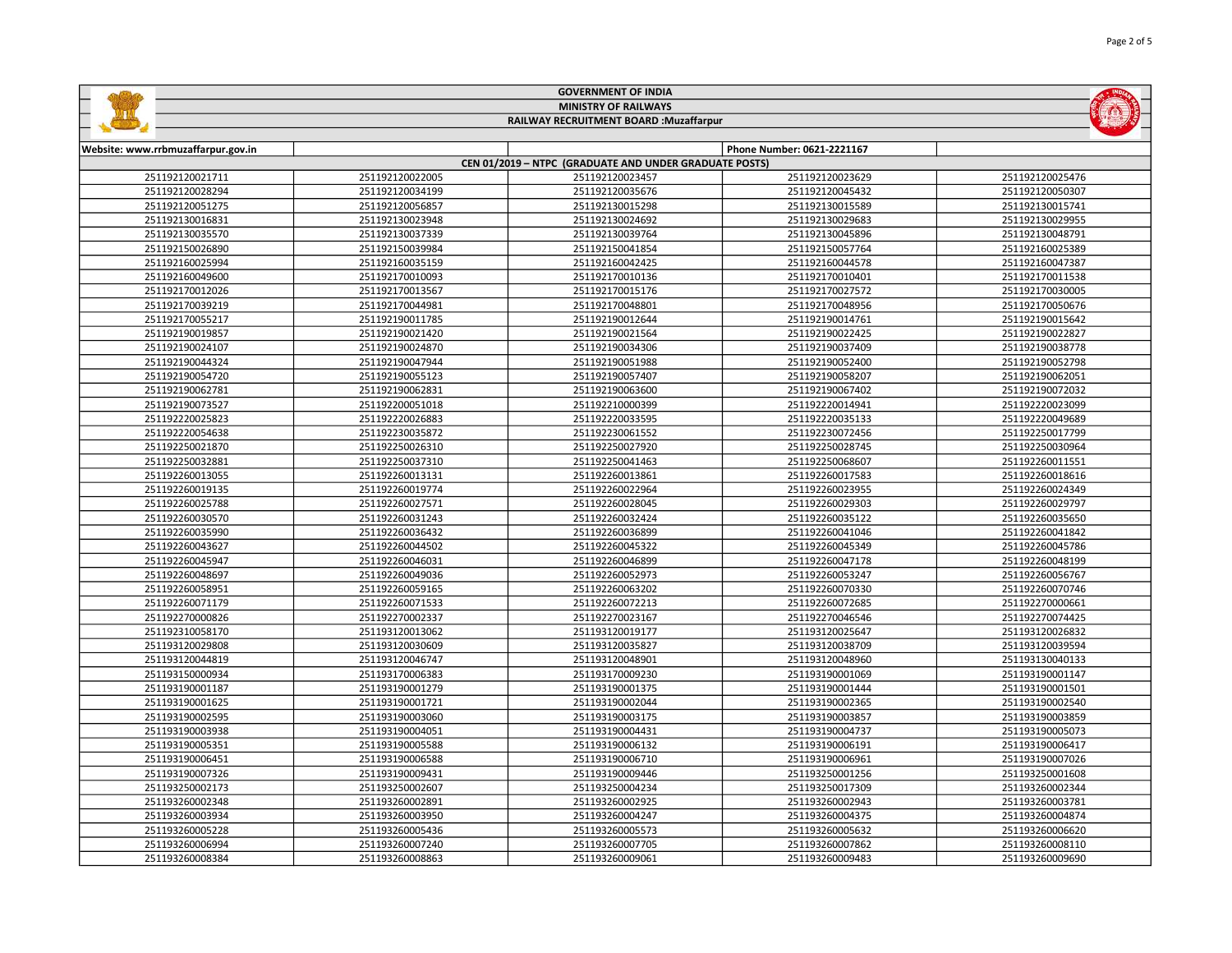|                                    |                  | <b>GOVERNMENT OF INDIA</b>                             |                            |                    |
|------------------------------------|------------------|--------------------------------------------------------|----------------------------|--------------------|
|                                    |                  | <b>MINISTRY OF RAILWAYS</b>                            |                            |                    |
|                                    |                  | RAILWAY RECRUITMENT BOARD : Muzaffarpur                |                            |                    |
| Website: www.rrbmuzaffarpur.gov.in |                  |                                                        | Phone Number: 0621-2221167 |                    |
|                                    |                  | CEN 01/2019 - NTPC (GRADUATE AND UNDER GRADUATE POSTS) |                            |                    |
| 251192120021711                    | 251192120022005  | 251192120023457                                        | 251192120023629            | 251192120025476    |
| 251192120028294                    | 251192120034199  | 251192120035676                                        | 251192120045432            | 251192120050307    |
| 251192120051275                    | 251192120056857  | 251192130015298                                        | 251192130015589            | 251192130015741    |
| 251192130016831                    | 251192130023948  | 251192130024692                                        | 251192130029683            | 251192130029955    |
| 251192130035570                    | 251192130037339  | 251192130039764                                        | 251192130045896            | 251192130048791    |
| 251192150026890                    | 251192150039984  | 251192150041854                                        | 251192150057764            | 251192160025389    |
| 251192160025994                    | 251192160035159  | 251192160042425                                        | 251192160044578            | 251192160047387    |
| 251192160049600                    | 251192170010093  | 251192170010136                                        | 251192170010401            | 251192170011538    |
| 251192170012026                    | 251192170013567  | 251192170015176                                        | 251192170027572            | 251192170030005    |
| 251192170039219                    | 251192170044981  | 251192170048801                                        | 251192170048956            | 251192170050676    |
| 251192170055217                    | 251192190011785  | 251192190012644                                        | 251192190014761            | 251192190015642    |
| 251192190019857                    | 251192190021420  | 251192190021564                                        | 251192190022425            | 251192190022827    |
| 251192190024107                    | 251192190024870  | 251192190034306                                        | 251192190037409            | 251192190038778    |
| 251192190044324                    | 251192190047944  | 251192190051988                                        | 251192190052400            | 251192190052798    |
| 251192190054720                    | 251192190055123  | 251192190057407                                        | 251192190058207            | 251192190062051    |
| 251192190062781                    | 251192190062831  | 251192190063600                                        | 251192190067402            | 251192190072032    |
| 251192190073527                    | 251192200051018  | 251192210000399                                        | 251192220014941            | 251192220023099    |
| 251192220025823                    | 251192220026883  | 251192220033595                                        | 251192220035133            | 251192220049689    |
| 251192220054638                    | 251192230035872  | 251192230061552                                        | 251192230072456            | 251192250017799    |
| 251192250021870                    | 251192250026310  | 251192250027920                                        | 251192250028745            | 251192250030964    |
| 251192250032881                    | 251192250037310  | 251192250041463                                        | 251192250068607            | 251192260011551    |
| 251192260013055                    | 251192260013131  | 251192260013861                                        | 251192260017583            | 251192260018616    |
| 251192260019135                    | 251192260019774  | 251192260022964                                        | 251192260023955            | 251192260024349    |
| 251192260025788                    | 251192260027571  | 251192260028045                                        | 251192260029303            | 251192260029797    |
| 251192260030570                    | 251192260031243  | 251192260032424                                        | 251192260035122            | 251192260035650    |
| 251192260035990                    | 251192260036432  | 251192260036899                                        | 251192260041046            | 251192260041842    |
| 251192260043627                    | 251192260044502  | 251192260045322                                        | 251192260045349            | 251192260045786    |
| 251192260045947                    | 251192260046031  | 251192260046899                                        | 251192260047178            | 251192260048199    |
| 251192260048697                    | 251192260049036  | 251192260052973                                        | 251192260053247            | 251192260056767    |
| 251192260058951                    | 251192260059165  | 251192260063202                                        | 251192260070330            | 251192260070746    |
| 351103360071170                    | $25110226021522$ | $25110220072212$                                       | 351103360073695            | $2F11022700000001$ |

 $\Box$ 

| 251192260036432 |                 |                 |                 |
|-----------------|-----------------|-----------------|-----------------|
|                 | 251192260036899 | 251192260041046 | 251192260041842 |
| 251192260044502 | 251192260045322 | 251192260045349 | 251192260045786 |
| 251192260046031 | 251192260046899 | 251192260047178 | 251192260048199 |
| 251192260049036 | 251192260052973 | 251192260053247 | 251192260056767 |
| 251192260059165 | 251192260063202 | 251192260070330 | 251192260070746 |
| 251192260071533 | 251192260072213 | 251192260072685 | 251192270000661 |
| 251192270002337 | 251192270023167 | 251192270046546 | 251192270074425 |
| 251193120013062 | 251193120019177 | 251193120025647 | 251193120026832 |
| 251193120030609 | 251193120035827 | 251193120038709 | 251193120039594 |
| 251193120046747 | 251193120048901 | 251193120048960 | 251193130040133 |
| 251193170006383 | 251193170009230 | 251193190001069 | 251193190001147 |
| 251193190001279 | 251193190001375 | 251193190001444 | 251193190001501 |
| 251193190001721 | 251193190002044 | 251193190002365 | 251193190002540 |
| 251193190003060 | 251193190003175 | 251193190003857 | 251193190003859 |
| 251193190004051 | 251193190004431 | 251193190004737 | 251193190005073 |
| 251193190005588 | 251193190006132 | 251193190006191 | 251193190006417 |
| 251193190006588 | 251193190006710 | 251193190006961 | 251193190007026 |
| 251193190009431 | 251193190009446 | 251193250001256 | 251193250001608 |
| 251193250002607 | 251193250004234 | 251193250017309 | 251193260002344 |
| 251193260002891 | 251193260002925 | 251193260002943 | 251193260003781 |
| 251193260003950 | 251193260004247 | 251193260004375 | 251193260004874 |
| 251193260005436 | 251193260005573 | 251193260005632 | 251193260006620 |
| 251193260007240 | 251193260007705 | 251193260007862 | 251193260008110 |
| 251193260008863 | 251193260009061 | 251193260009483 | 251193260009690 |
|                 |                 |                 |                 |

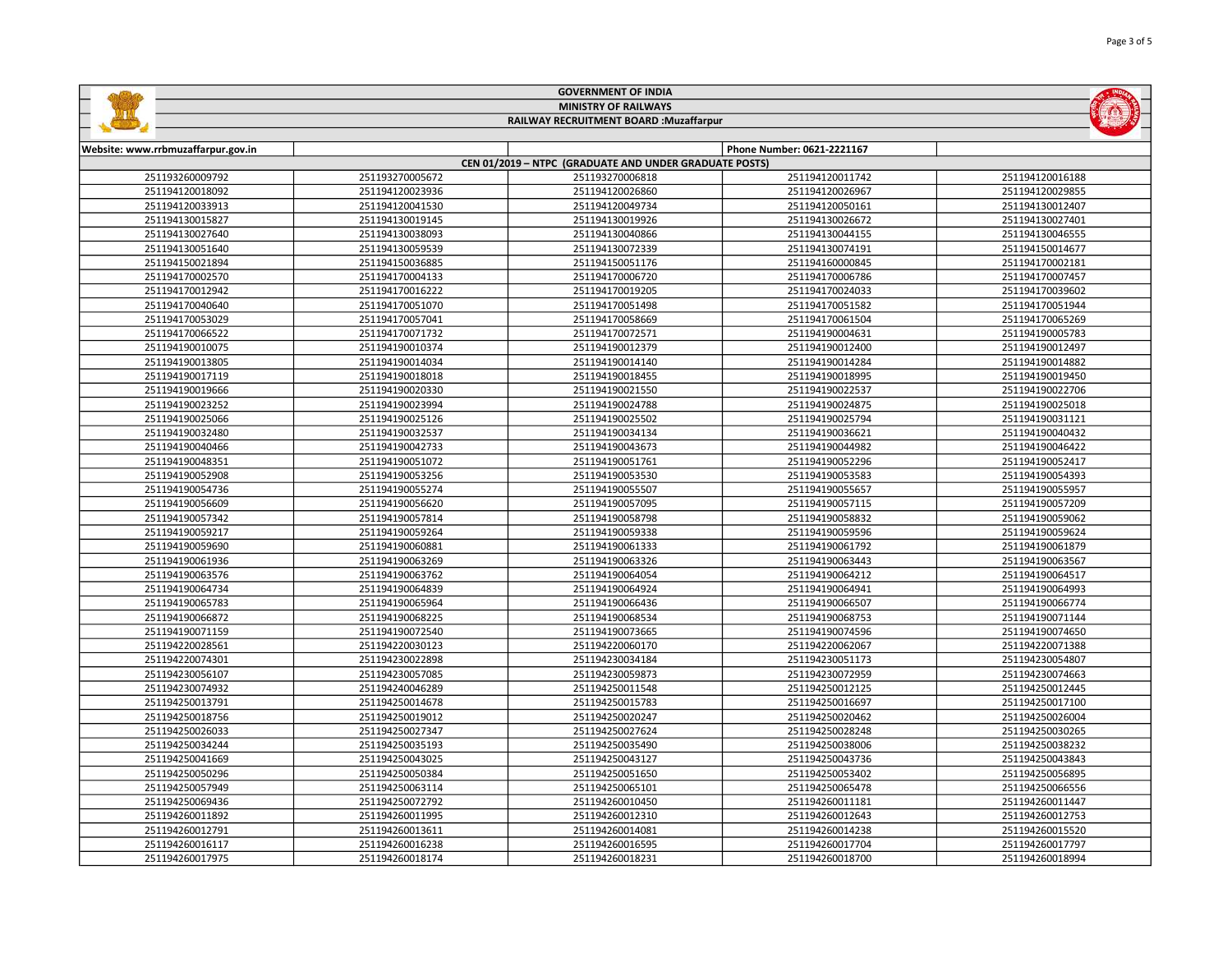|  | <b>GOVERNMENT OF INDIA</b>              |  |  |                            |  |  |
|--|-----------------------------------------|--|--|----------------------------|--|--|
|  | <b>MINISTRY OF RAILWAYS</b>             |  |  |                            |  |  |
|  | RAILWAY RECRUITMENT BOARD : Muzaffarpur |  |  |                            |  |  |
|  |                                         |  |  |                            |  |  |
|  | Website: www.rrbmuzaffarpur.gov.in      |  |  | Phone Number: 0621-2221167 |  |  |

E

| CEN 01/2019 - NTPC (GRADUATE AND UNDER GRADUATE POSTS) |                 |                 |                 |                 |
|--------------------------------------------------------|-----------------|-----------------|-----------------|-----------------|
| 251193260009792                                        | 251193270005672 | 251193270006818 | 251194120011742 | 251194120016188 |
| 251194120018092                                        | 251194120023936 | 251194120026860 | 251194120026967 | 251194120029855 |
| 251194120033913                                        | 251194120041530 | 251194120049734 | 251194120050161 | 251194130012407 |
| 251194130015827                                        | 251194130019145 | 251194130019926 | 251194130026672 | 251194130027401 |
| 251194130027640                                        | 251194130038093 | 251194130040866 | 251194130044155 | 251194130046555 |
| 251194130051640                                        | 251194130059539 | 251194130072339 | 251194130074191 | 251194150014677 |
| 251194150021894                                        | 251194150036885 | 251194150051176 | 251194160000845 | 251194170002181 |
| 251194170002570                                        | 251194170004133 | 251194170006720 | 251194170006786 | 251194170007457 |
| 251194170012942                                        | 251194170016222 | 251194170019205 | 251194170024033 | 251194170039602 |
| 251194170040640                                        | 251194170051070 | 251194170051498 | 251194170051582 | 251194170051944 |
| 251194170053029                                        | 251194170057041 | 251194170058669 | 251194170061504 | 251194170065269 |
| 251194170066522                                        | 251194170071732 | 251194170072571 | 251194190004631 | 251194190005783 |
| 251194190010075                                        | 251194190010374 | 251194190012379 | 251194190012400 | 251194190012497 |
| 251194190013805                                        | 251194190014034 | 251194190014140 | 251194190014284 | 251194190014882 |
| 251194190017119                                        | 251194190018018 | 251194190018455 | 251194190018995 | 251194190019450 |
| 251194190019666                                        | 251194190020330 | 251194190021550 | 251194190022537 | 251194190022706 |
| 251194190023252                                        | 251194190023994 | 251194190024788 | 251194190024875 | 251194190025018 |
| 251194190025066                                        | 251194190025126 | 251194190025502 | 251194190025794 | 251194190031121 |
| 251194190032480                                        | 251194190032537 | 251194190034134 | 251194190036621 | 251194190040432 |
| 251194190040466                                        | 251194190042733 | 251194190043673 | 251194190044982 | 251194190046422 |
| 251194190048351                                        | 251194190051072 | 251194190051761 | 251194190052296 | 251194190052417 |
| 251194190052908                                        | 251194190053256 | 251194190053530 | 251194190053583 | 251194190054393 |
| 251194190054736                                        | 251194190055274 | 251194190055507 | 251194190055657 | 251194190055957 |
| 251194190056609                                        | 251194190056620 | 251194190057095 | 251194190057115 | 251194190057209 |
| 251194190057342                                        | 251194190057814 | 251194190058798 | 251194190058832 | 251194190059062 |
| 251194190059217                                        | 251194190059264 | 251194190059338 | 251194190059596 | 251194190059624 |
| 251194190059690                                        | 251194190060881 | 251194190061333 | 251194190061792 | 251194190061879 |
| 251194190061936                                        | 251194190063269 | 251194190063326 | 251194190063443 | 251194190063567 |
| 251194190063576                                        | 251194190063762 | 251194190064054 | 251194190064212 | 251194190064517 |
| 251194190064734                                        | 251194190064839 | 251194190064924 | 251194190064941 | 251194190064993 |
| 251194190065783                                        | 251194190065964 | 251194190066436 | 251194190066507 | 251194190066774 |
| 251194190066872                                        | 251194190068225 | 251194190068534 | 251194190068753 | 251194190071144 |
| 251194190071159                                        | 251194190072540 | 251194190073665 | 251194190074596 | 251194190074650 |
| 251194220028561                                        | 251194220030123 | 251194220060170 | 251194220062067 | 251194220071388 |
| 251194220074301                                        | 251194230022898 | 251194230034184 | 251194230051173 | 251194230054807 |
| 251194230056107                                        | 251194230057085 | 251194230059873 | 251194230072959 | 251194230074663 |
| 251194230074932                                        | 251194240046289 | 251194250011548 | 251194250012125 | 251194250012445 |
| 251194250013791                                        | 251194250014678 | 251194250015783 | 251194250016697 | 251194250017100 |
| 251194250018756                                        | 251194250019012 | 251194250020247 | 251194250020462 | 251194250026004 |
| 251194250026033                                        | 251194250027347 | 251194250027624 | 251194250028248 | 251194250030265 |
| 251194250034244                                        | 251194250035193 | 251194250035490 | 251194250038006 | 251194250038232 |
| 251194250041669                                        | 251194250043025 | 251194250043127 | 251194250043736 | 251194250043843 |
| 251194250050296                                        | 251194250050384 | 251194250051650 | 251194250053402 | 251194250056895 |
| 251194250057949                                        | 251194250063114 | 251194250065101 | 251194250065478 | 251194250066556 |
| 251194250069436                                        | 251194250072792 | 251194260010450 | 251194260011181 | 251194260011447 |
| 251194260011892                                        | 251194260011995 | 251194260012310 | 251194260012643 | 251194260012753 |
| 251194260012791                                        | 251194260013611 | 251194260014081 | 251194260014238 | 251194260015520 |
| 251194260016117                                        | 251194260016238 | 251194260016595 | 251194260017704 | 251194260017797 |
| 251194260017975                                        | 251194260018174 | 251194260018231 | 251194260018700 | 251194260018994 |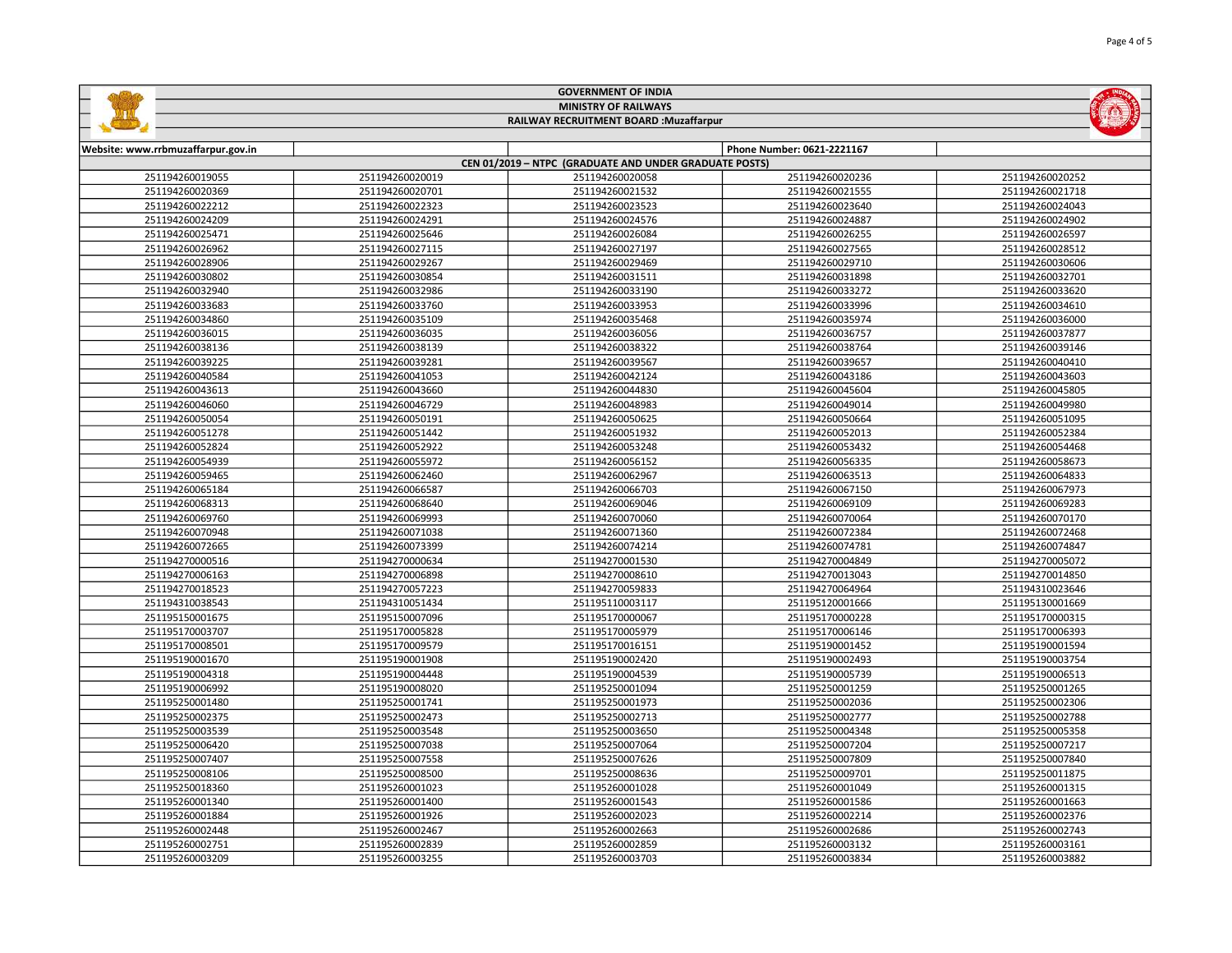|                                    | <b>GOVERNMENT OF INDIA</b>  |                                                        |                            |                 |  |  |
|------------------------------------|-----------------------------|--------------------------------------------------------|----------------------------|-----------------|--|--|
|                                    | <b>MINISTRY OF RAILWAYS</b> |                                                        |                            |                 |  |  |
|                                    |                             | RAILWAY RECRUITMENT BOARD : Muzaffarpur                |                            |                 |  |  |
|                                    |                             |                                                        |                            |                 |  |  |
| Website: www.rrbmuzaffarpur.gov.in |                             |                                                        | Phone Number: 0621-2221167 |                 |  |  |
|                                    |                             | CEN 01/2019 - NTPC (GRADUATE AND UNDER GRADUATE POSTS) |                            |                 |  |  |
| 251194260019055                    | 251194260020019             | 251194260020058                                        | 251194260020236            | 251194260020252 |  |  |
| 251194260020369                    | 251194260020701             | 251194260021532                                        | 251194260021555            | 251194260021718 |  |  |
| 251194260022212                    | 251194260022323             | 251194260023523                                        | 251194260023640            | 251194260024043 |  |  |
| 251194260024209                    | 251194260024291             | 251194260024576                                        | 251194260024887            | 251194260024902 |  |  |
| 251194260025471                    | 251194260025646             | 251194260026084                                        | 251194260026255            | 251194260026597 |  |  |
| 251194260026962                    | 251194260027115             | 251194260027197                                        | 251194260027565            | 251194260028512 |  |  |
|                                    |                             |                                                        |                            |                 |  |  |

|                 | __________________ |                 | 23113720002700  | 231137200027302 |
|-----------------|--------------------|-----------------|-----------------|-----------------|
| 251194260025471 | 251194260025646    | 251194260026084 | 251194260026255 | 251194260026597 |
| 251194260026962 | 251194260027115    | 251194260027197 | 251194260027565 | 251194260028512 |
| 251194260028906 | 251194260029267    | 251194260029469 | 251194260029710 | 251194260030606 |
| 251194260030802 | 251194260030854    | 251194260031511 | 251194260031898 | 251194260032701 |
| 251194260032940 | 251194260032986    | 251194260033190 | 251194260033272 | 251194260033620 |
| 251194260033683 | 251194260033760    | 251194260033953 | 251194260033996 | 251194260034610 |
| 251194260034860 | 251194260035109    | 251194260035468 | 251194260035974 | 251194260036000 |
| 251194260036015 | 251194260036035    | 251194260036056 | 251194260036757 | 251194260037877 |
| 251194260038136 | 251194260038139    | 251194260038322 | 251194260038764 | 251194260039146 |
| 251194260039225 | 251194260039281    | 251194260039567 | 251194260039657 | 251194260040410 |
| 251194260040584 | 251194260041053    | 251194260042124 | 251194260043186 | 251194260043603 |
| 251194260043613 | 251194260043660    | 251194260044830 | 251194260045604 | 251194260045805 |
| 251194260046060 | 251194260046729    | 251194260048983 | 251194260049014 | 251194260049980 |
| 251194260050054 | 251194260050191    | 251194260050625 | 251194260050664 | 251194260051095 |
| 251194260051278 | 251194260051442    | 251194260051932 | 251194260052013 | 251194260052384 |
| 251194260052824 | 251194260052922    | 251194260053248 | 251194260053432 | 251194260054468 |
| 251194260054939 | 251194260055972    | 251194260056152 | 251194260056335 | 251194260058673 |
| 251194260059465 | 251194260062460    | 251194260062967 | 251194260063513 | 251194260064833 |
| 251194260065184 | 251194260066587    | 251194260066703 | 251194260067150 | 251194260067973 |
| 251194260068313 | 251194260068640    | 251194260069046 | 251194260069109 | 251194260069283 |
| 251194260069760 | 251194260069993    | 251194260070060 | 251194260070064 | 251194260070170 |
| 251194260070948 | 251194260071038    | 251194260071360 | 251194260072384 | 251194260072468 |
| 251194260072665 | 251194260073399    | 251194260074214 | 251194260074781 | 251194260074847 |
| 251194270000516 | 251194270000634    | 251194270001530 | 251194270004849 | 251194270005072 |
| 251194270006163 | 251194270006898    | 251194270008610 | 251194270013043 | 251194270014850 |
| 251194270018523 | 251194270057223    | 251194270059833 | 251194270064964 | 251194310023646 |
| 251194310038543 | 251194310051434    | 251195110003117 | 251195120001666 | 251195130001669 |
| 251195150001675 | 251195150007096    | 251195170000067 | 251195170000228 | 251195170000315 |
| 251195170003707 | 251195170005828    | 251195170005979 | 251195170006146 | 251195170006393 |
| 251195170008501 | 251195170009579    | 251195170016151 | 251195190001452 | 251195190001594 |
| 251195190001670 | 251195190001908    | 251195190002420 | 251195190002493 | 251195190003754 |
| 251195190004318 | 251195190004448    | 251195190004539 | 251195190005739 | 251195190006513 |
| 251195190006992 | 251195190008020    | 251195250001094 | 251195250001259 | 251195250001265 |
| 251195250001480 | 251195250001741    | 251195250001973 | 251195250002036 | 251195250002306 |
| 251195250002375 | 251195250002473    | 251195250002713 | 251195250002777 | 251195250002788 |
| 251195250003539 | 251195250003548    | 251195250003650 | 251195250004348 | 251195250005358 |
| 251195250006420 | 251195250007038    | 251195250007064 | 251195250007204 | 251195250007217 |
| 251195250007407 | 251195250007558    | 251195250007626 | 251195250007809 | 251195250007840 |
| 251195250008106 | 251195250008500    | 251195250008636 | 251195250009701 | 251195250011875 |
| 251195250018360 | 251195260001023    | 251195260001028 | 251195260001049 | 251195260001315 |
| 251195260001340 | 251195260001400    | 251195260001543 | 251195260001586 | 251195260001663 |
| 251195260001884 | 251195260001926    | 251195260002023 | 251195260002214 | 251195260002376 |
| 251195260002448 | 251195260002467    | 251195260002663 | 251195260002686 | 251195260002743 |
| 251195260002751 | 251195260002839    | 251195260002859 | 251195260003132 | 251195260003161 |
| 251195260003209 | 251195260003255    | 251195260003703 | 251195260003834 | 251195260003882 |